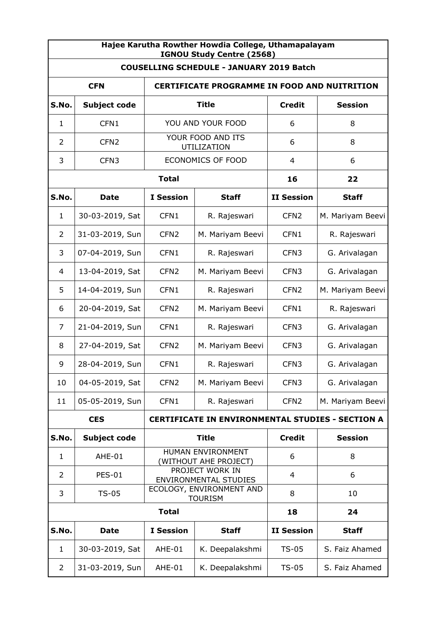| Hajee Karutha Rowther Howdia College, Uthamapalayam<br>IGNOU Study Centre (2568) |                  |                                                 |                  |                                                         |                  |  |
|----------------------------------------------------------------------------------|------------------|-------------------------------------------------|------------------|---------------------------------------------------------|------------------|--|
| <b>COUSELLING SCHEDULE - JANUARY 2019 Batch</b>                                  |                  |                                                 |                  |                                                         |                  |  |
| <b>CFN</b><br><b>CERTIFICATE PROGRAMME IN FOOD AND NUITRITION</b>                |                  |                                                 |                  |                                                         |                  |  |
| S.No.                                                                            | Subject code     | <b>Title</b>                                    |                  | <b>Credit</b>                                           | <b>Session</b>   |  |
| $\mathbf{1}$                                                                     | CFN1             | YOU AND YOUR FOOD                               |                  | 6                                                       | 8                |  |
| 2                                                                                | CFN <sub>2</sub> | YOUR FOOD AND ITS<br>UTILIZATION                |                  | 6                                                       | 8                |  |
| 3                                                                                | CFN <sub>3</sub> | <b>ECONOMICS OF FOOD</b>                        |                  | 4                                                       | 6                |  |
|                                                                                  |                  | <b>Total</b>                                    |                  | 16                                                      | 22               |  |
| S.No.                                                                            | <b>Date</b>      | <b>I</b> Session                                | <b>Staff</b>     | <b>II Session</b>                                       | <b>Staff</b>     |  |
| $\mathbf{1}$                                                                     | 30-03-2019, Sat  | CFN1                                            | R. Rajeswari     | CFN <sub>2</sub>                                        | M. Mariyam Beevi |  |
| 2                                                                                | 31-03-2019, Sun  | CFN <sub>2</sub>                                | M. Mariyam Beevi | CFN1                                                    | R. Rajeswari     |  |
| 3                                                                                | 07-04-2019, Sun  | CFN1                                            | R. Rajeswari     | CFN <sub>3</sub>                                        | G. Arivalagan    |  |
| 4                                                                                | 13-04-2019, Sat  | CFN <sub>2</sub>                                | M. Mariyam Beevi | CFN <sub>3</sub>                                        | G. Arivalagan    |  |
| 5                                                                                | 14-04-2019, Sun  | CFN1                                            | R. Rajeswari     | CFN <sub>2</sub>                                        | M. Mariyam Beevi |  |
| 6                                                                                | 20-04-2019, Sat  | CFN <sub>2</sub>                                | M. Mariyam Beevi | CFN1                                                    | R. Rajeswari     |  |
| 7                                                                                | 21-04-2019, Sun  | CFN1                                            | R. Rajeswari     | CFN <sub>3</sub>                                        | G. Arivalagan    |  |
| 8                                                                                | 27-04-2019, Sat  | CFN <sub>2</sub>                                | M. Mariyam Beevi | CFN <sub>3</sub>                                        | G. Arivalagan    |  |
| 9                                                                                | 28-04-2019, Sun  | CFN1                                            | R. Rajeswari     | CFN <sub>3</sub>                                        | G. Arivalagan    |  |
| 10                                                                               | 04-05-2019, Sat  | CFN <sub>2</sub>                                | M. Mariyam Beevi | CFN <sub>3</sub>                                        | G. Arivalagan    |  |
| 11                                                                               | 05-05-2019, Sun  | CFN1                                            | R. Rajeswari     | CFN <sub>2</sub>                                        | M. Mariyam Beevi |  |
|                                                                                  | <b>CES</b>       |                                                 |                  | <b>CERTIFICATE IN ENVIRONMENTAL STUDIES - SECTION A</b> |                  |  |
| S.No.                                                                            | Subject code     |                                                 | <b>Title</b>     | <b>Credit</b>                                           | <b>Session</b>   |  |
| 1                                                                                | AHE-01           | HUMAN ENVIRONMENT<br>(WITHOUT AHE PROJECT)      |                  | 6                                                       | 8                |  |
| 2                                                                                | <b>PES-01</b>    | PROJECT WORK IN<br><b>ENVIRONMENTAL STUDIES</b> |                  | $\overline{a}$                                          | 6                |  |
| 3                                                                                | $TS-05$          | ECOLOGY, ENVIRONMENT AND<br><b>TOURISM</b>      |                  | 8                                                       | 10               |  |
|                                                                                  | <b>Total</b>     |                                                 |                  | 18                                                      | 24               |  |
| S.No.                                                                            | <b>Date</b>      | <b>I</b> Session                                | <b>Staff</b>     | <b>II Session</b>                                       | <b>Staff</b>     |  |
| $\mathbf{1}$                                                                     | 30-03-2019, Sat  | AHE-01                                          | K. Deepalakshmi  | $TS-05$                                                 | S. Faiz Ahamed   |  |
| 2                                                                                | 31-03-2019, Sun  | AHE-01                                          | K. Deepalakshmi  | $TS-05$                                                 | S. Faiz Ahamed   |  |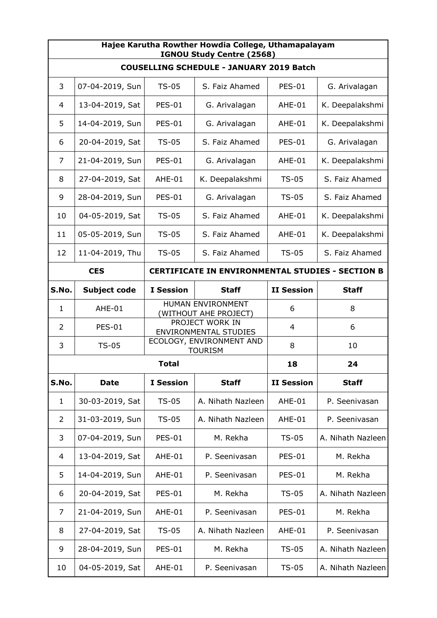| Hajee Karutha Rowther Howdia College, Uthamapalayam<br>IGNOU Study Centre (2568) |                     |                                                 |                   |                   |                   |  |
|----------------------------------------------------------------------------------|---------------------|-------------------------------------------------|-------------------|-------------------|-------------------|--|
| <b>COUSELLING SCHEDULE - JANUARY 2019 Batch</b>                                  |                     |                                                 |                   |                   |                   |  |
| 3                                                                                | 07-04-2019, Sun     | $TS-05$                                         | S. Faiz Ahamed    | <b>PES-01</b>     | G. Arivalagan     |  |
| 4                                                                                | 13-04-2019, Sat     | <b>PES-01</b>                                   | G. Arivalagan     | AHE-01            | K. Deepalakshmi   |  |
| 5                                                                                | 14-04-2019, Sun     | <b>PES-01</b>                                   | G. Arivalagan     | AHE-01            | K. Deepalakshmi   |  |
| 6                                                                                | 20-04-2019, Sat     | <b>TS-05</b>                                    | S. Faiz Ahamed    | <b>PES-01</b>     | G. Arivalagan     |  |
| 7                                                                                | 21-04-2019, Sun     | <b>PES-01</b>                                   | G. Arivalagan     | AHE-01            | K. Deepalakshmi   |  |
| 8                                                                                | 27-04-2019, Sat     | AHE-01                                          | K. Deepalakshmi   | <b>TS-05</b>      | S. Faiz Ahamed    |  |
| 9                                                                                | 28-04-2019, Sun     | <b>PES-01</b>                                   | G. Arivalagan     | $TS-05$           | S. Faiz Ahamed    |  |
| 10                                                                               | 04-05-2019, Sat     | $TS-05$                                         | S. Faiz Ahamed    | AHE-01            | K. Deepalakshmi   |  |
| 11                                                                               | 05-05-2019, Sun     | $TS-05$                                         | S. Faiz Ahamed    | AHE-01            | K. Deepalakshmi   |  |
| 12                                                                               | 11-04-2019, Thu     | $TS-05$                                         | S. Faiz Ahamed    | <b>TS-05</b>      | S. Faiz Ahamed    |  |
| <b>CERTIFICATE IN ENVIRONMENTAL STUDIES - SECTION B</b><br><b>CES</b>            |                     |                                                 |                   |                   |                   |  |
| S.No.                                                                            | <b>Subject code</b> | <b>I</b> Session                                | <b>Staff</b>      | <b>II Session</b> | <b>Staff</b>      |  |
| $\mathbf{1}$                                                                     | AHE-01              | HUMAN ENVIRONMENT<br>(WITHOUT AHE PROJECT)      |                   | 6                 | 8                 |  |
| $\overline{2}$                                                                   | <b>PES-01</b>       | PROJECT WORK IN<br><b>ENVIRONMENTAL STUDIES</b> |                   | $\overline{4}$    | 6                 |  |
| 3                                                                                | $TS-05$             | ECOLOGY, ENVIRONMENT AND<br><b>TOURISM</b>      |                   | 8                 | 10                |  |
|                                                                                  | <b>Total</b>        |                                                 |                   | 18                | 24                |  |
| S.No.                                                                            | <b>Date</b>         | <b>I</b> Session                                | <b>Staff</b>      | <b>II Session</b> | <b>Staff</b>      |  |
| $\mathbf{1}$                                                                     | 30-03-2019, Sat     | $TS-05$                                         | A. Nihath Nazleen | AHE-01            | P. Seenivasan     |  |
| $\overline{2}$                                                                   | 31-03-2019, Sun     | $TS-05$                                         | A. Nihath Nazleen | AHE-01            | P. Seenivasan     |  |
| 3                                                                                | 07-04-2019, Sun     | <b>PES-01</b>                                   | M. Rekha          | $TS-05$           | A. Nihath Nazleen |  |
| 4                                                                                | 13-04-2019, Sat     | AHE-01                                          | P. Seenivasan     | <b>PES-01</b>     | M. Rekha          |  |
| 5                                                                                | 14-04-2019, Sun     | AHE-01                                          | P. Seenivasan     | <b>PES-01</b>     | M. Rekha          |  |
| 6                                                                                | 20-04-2019, Sat     | <b>PES-01</b>                                   | M. Rekha          | $TS-05$           | A. Nihath Nazleen |  |
| 7                                                                                | 21-04-2019, Sun     | AHE-01                                          | P. Seenivasan     | <b>PES-01</b>     | M. Rekha          |  |
| 8                                                                                | 27-04-2019, Sat     | $TS-05$                                         | A. Nihath Nazleen | AHE-01            | P. Seenivasan     |  |
| 9                                                                                | 28-04-2019, Sun     | <b>PES-01</b>                                   | M. Rekha          | $TS-05$           | A. Nihath Nazleen |  |
| 10                                                                               | 04-05-2019, Sat     | AHE-01                                          | P. Seenivasan     | $TS-05$           | A. Nihath Nazleen |  |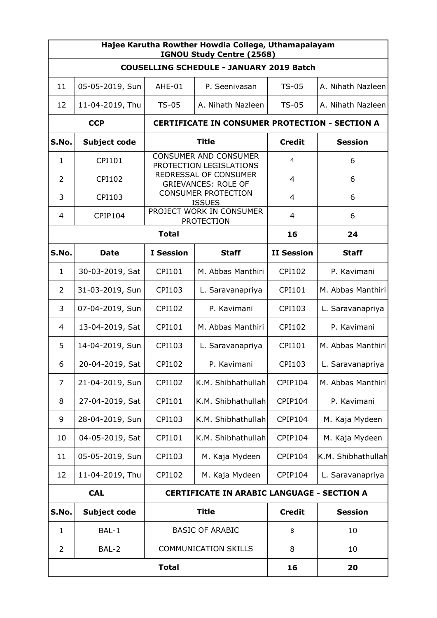| Hajee Karutha Rowther Howdia College, Uthamapalayam<br>IGNOU Study Centre (2568) |                                                                 |                                                         |                    |                                                       |                    |  |
|----------------------------------------------------------------------------------|-----------------------------------------------------------------|---------------------------------------------------------|--------------------|-------------------------------------------------------|--------------------|--|
| <b>COUSELLING SCHEDULE - JANUARY 2019 Batch</b>                                  |                                                                 |                                                         |                    |                                                       |                    |  |
| 11                                                                               | 05-05-2019, Sun                                                 | AHE-01                                                  | P. Seenivasan      | $TS-05$                                               | A. Nihath Nazleen  |  |
| 12                                                                               | 11-04-2019, Thu                                                 | $TS-05$                                                 | A. Nihath Nazleen  | $TS-05$                                               | A. Nihath Nazleen  |  |
|                                                                                  | <b>CCP</b>                                                      |                                                         |                    | <b>CERTIFICATE IN CONSUMER PROTECTION - SECTION A</b> |                    |  |
| S.No.                                                                            | Subject code                                                    | <b>Title</b>                                            |                    | <b>Credit</b>                                         | <b>Session</b>     |  |
| 1                                                                                | CPI101                                                          | <b>CONSUMER AND CONSUMER</b><br>PROTECTION LEGISLATIONS |                    | 4                                                     | 6                  |  |
| 2                                                                                | <b>CPI102</b>                                                   | REDRESSAL OF CONSUMER<br><b>GRIEVANCES: ROLE OF</b>     |                    | 4                                                     | 6                  |  |
| 3                                                                                | CPI103                                                          | <b>CONSUMER PROTECTION</b><br><b>ISSUES</b>             |                    | 4                                                     | 6                  |  |
| 4                                                                                | <b>CPIP104</b>                                                  | PROJECT WORK IN CONSUMER<br><b>PROTECTION</b>           |                    | $\overline{4}$                                        | 6                  |  |
|                                                                                  | <b>Total</b>                                                    |                                                         |                    | 16                                                    | 24                 |  |
| S.No.                                                                            | Date                                                            | <b>I</b> Session                                        | <b>Staff</b>       | <b>II Session</b>                                     | <b>Staff</b>       |  |
| 1                                                                                | 30-03-2019, Sat                                                 | CPI101                                                  | M. Abbas Manthiri  | CPI102                                                | P. Kavimani        |  |
| 2                                                                                | 31-03-2019, Sun                                                 | CPI103                                                  | L. Saravanapriya   | CPI101                                                | M. Abbas Manthiri  |  |
| 3                                                                                | 07-04-2019, Sun                                                 | CPI102                                                  | P. Kavimani        | CPI103                                                | L. Saravanapriya   |  |
| 4                                                                                | 13-04-2019, Sat                                                 | CPI101                                                  | M. Abbas Manthiri  | CPI102                                                | P. Kavimani        |  |
| 5                                                                                | 14-04-2019, Sun                                                 | CPI103                                                  | L. Saravanapriya   | CPI101                                                | M. Abbas Manthiri  |  |
| 6                                                                                | 20-04-2019, Sat                                                 | <b>CPI102</b>                                           | P. Kavimani        | CPI103                                                | L. Saravanapriya   |  |
| 7                                                                                | 21-04-2019, Sun                                                 | CPI102                                                  | K.M. Shibhathullah | CPIP104                                               | M. Abbas Manthiri  |  |
| 8                                                                                | 27-04-2019, Sat                                                 | CPI101                                                  | K.M. Shibhathullah | CPIP104                                               | P. Kavimani        |  |
| 9                                                                                | 28-04-2019, Sun                                                 | CPI103                                                  | K.M. Shibhathullah | CPIP104                                               | M. Kaja Mydeen     |  |
| 10                                                                               | 04-05-2019, Sat                                                 | CPI101                                                  | K.M. Shibhathullah | CPIP104                                               | M. Kaja Mydeen     |  |
| 11                                                                               | 05-05-2019, Sun                                                 | CPI103                                                  | M. Kaja Mydeen     | CPIP104                                               | K.M. Shibhathullah |  |
| 12                                                                               | 11-04-2019, Thu                                                 | <b>CPI102</b>                                           | M. Kaja Mydeen     | CPIP104                                               | L. Saravanapriya   |  |
|                                                                                  | <b>CAL</b><br><b>CERTIFICATE IN ARABIC LANGUAGE - SECTION A</b> |                                                         |                    |                                                       |                    |  |
| S.No.                                                                            | <b>Subject code</b>                                             | <b>Title</b>                                            |                    | <b>Credit</b>                                         | <b>Session</b>     |  |
| $\mathbf{1}$                                                                     | BAL-1                                                           | <b>BASIC OF ARABIC</b>                                  |                    | 8                                                     | 10                 |  |
| 2                                                                                | BAL-2                                                           | <b>COMMUNICATION SKILLS</b>                             |                    | 8                                                     | 10                 |  |
| <b>Total</b>                                                                     |                                                                 |                                                         |                    | 16                                                    | 20                 |  |